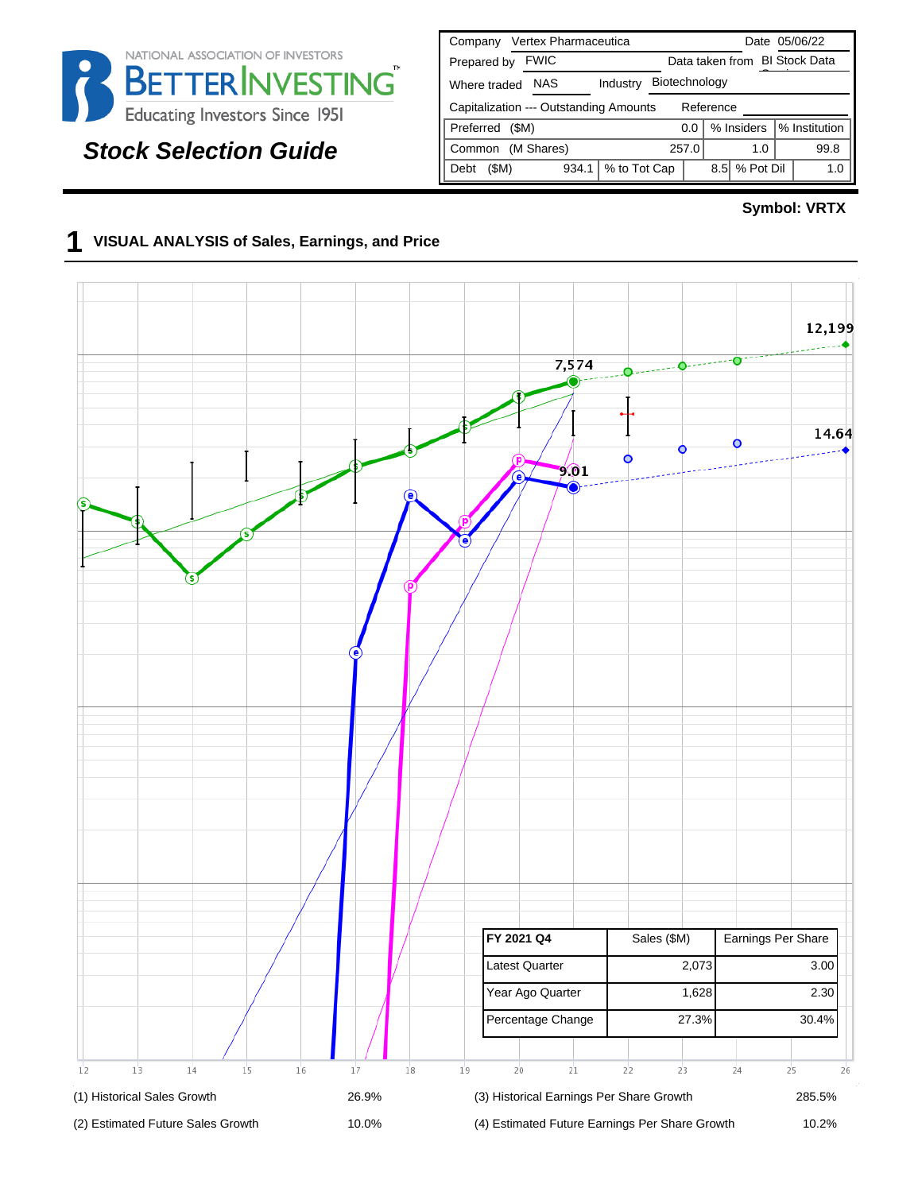

# **Stock Selection Guide**

| Vertex Pharmaceutica<br>Company                     | Date 05/06/22                           |  |  |  |  |  |  |  |  |  |  |
|-----------------------------------------------------|-----------------------------------------|--|--|--|--|--|--|--|--|--|--|
| <b>FWIC</b><br>Prepared by                          | Data taken from BI Stock Data           |  |  |  |  |  |  |  |  |  |  |
| <b>NAS</b><br>Industry<br>Where traded              | Biotechnology                           |  |  |  |  |  |  |  |  |  |  |
| Capitalization --- Outstanding Amounts<br>Reference |                                         |  |  |  |  |  |  |  |  |  |  |
| Preferred<br>(SM)                                   | % Institution<br>% Insiders<br>0.0      |  |  |  |  |  |  |  |  |  |  |
| (M Shares)<br>Common                                | 257.0<br>99.8<br>1.0                    |  |  |  |  |  |  |  |  |  |  |
| (\$M)<br>934.1<br>Debt                              | % Pot Dil<br>% to Tot Cap<br>8.5<br>1.0 |  |  |  |  |  |  |  |  |  |  |

#### **Symbol: VRTX**

#### **1 VISUAL ANALYSIS of Sales, Earnings, and Price**

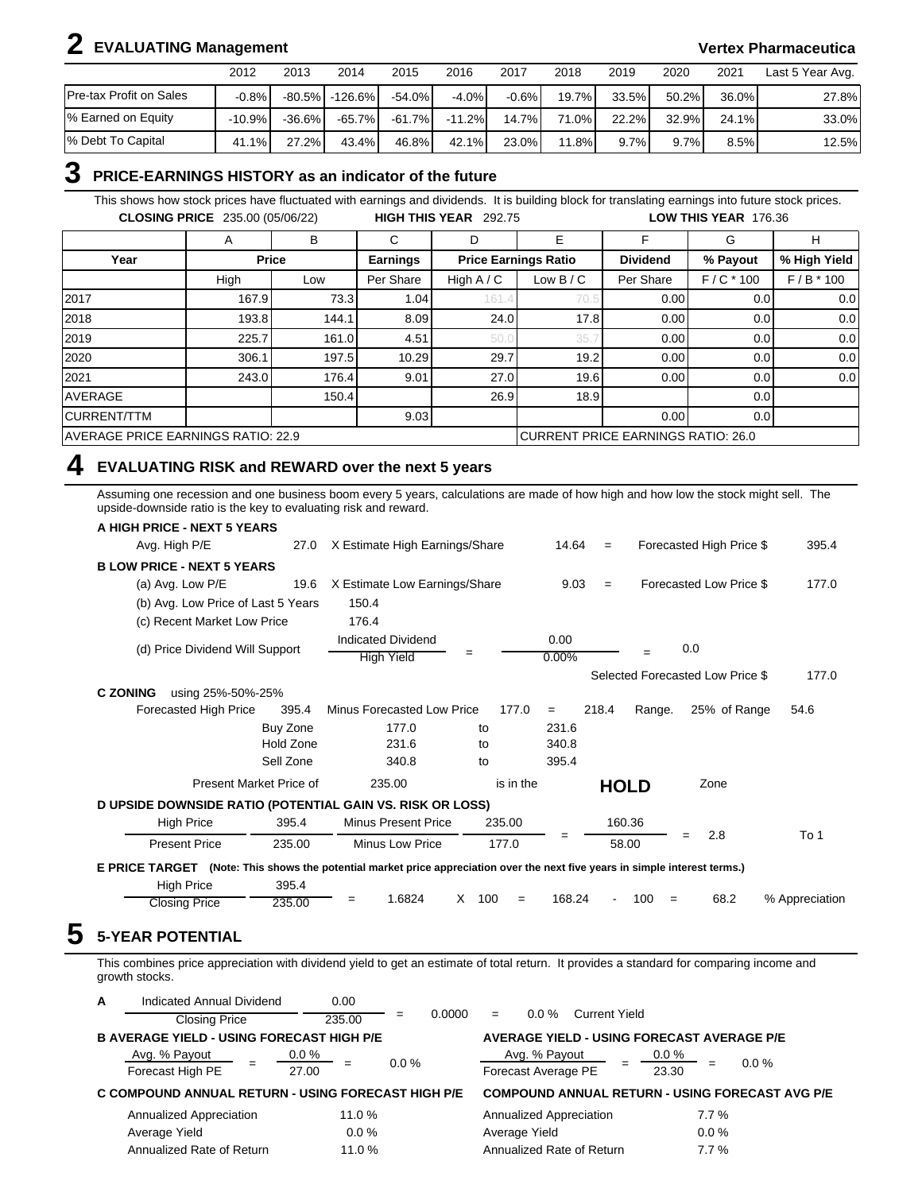# **2 EVALUATING Management Vertex Pharmaceutica**

|                         | 2012     | 2013      | 2014                   | 2015      | 2016     | 2017     | 2018  | 2019     | 2020  | 2021  | Last 5 Year Avg. |
|-------------------------|----------|-----------|------------------------|-----------|----------|----------|-------|----------|-------|-------|------------------|
| Pre-tax Profit on Sales | $-0.8%$  |           | $-80.5\%$   $-126.6\%$ | $-54.0\%$ | $-4.0%$  | $-0.6\%$ | 19.7% | 33.5%    | 50.2% | 36.0% | 27.8%            |
| % Earned on Equity      | $-10.9%$ | $-36.6\%$ | $-65.7\%$              | $-61.7\%$ | $-11.2%$ | $14.7\%$ | 71.0% | $22.2\%$ | 32.9% | 24.1% | 33.0%            |
| % Debt To Capital       | 41.1%    | $27.2\%$  | 43.4%                  | 46.8%     | $42.1\%$ | 23.0%    | 11.8% | $9.7\%$  | 9.7%  | 8.5%  | 12.5%            |

### **3 PRICE-EARNINGS HISTORY as an indicator of the future**

This shows how stock prices have fluctuated with earnings and dividends. It is building block for translating earnings into future stock prices. **CLOSING PRICE** 235.00 (05/06/22) **HIGH THIS YEAR** 292.75 **LOW THIS YEAR** 176.36

|                                    | A           | в            | С               | D            | E                                  |                 | G                | н            |
|------------------------------------|-------------|--------------|-----------------|--------------|------------------------------------|-----------------|------------------|--------------|
| Year                               |             | <b>Price</b> | <b>Earnings</b> |              | <b>Price Earnings Ratio</b>        | <b>Dividend</b> | % Payout         | % High Yield |
|                                    | High<br>Low |              | Per Share       | High $A / C$ | Low B / C                          | Per Share       | $F/C * 100$      | $F/B * 100$  |
| 2017                               | 167.9       | 73.3         | 1.04            | 161.         | 70.5                               | 0.00            | 0.0 <sub>l</sub> | 0.0          |
| 2018                               | 193.8       | 144.1        | 8.09            | 24.0         | 17.8                               | 0.00            | 0.0 <sub>l</sub> | 0.0          |
| 2019                               | 225.7       | 161.0        | 4.51            | 50.          | 35.7                               | 0.00            | 0.0 <sub>l</sub> | 0.0          |
| 2020                               | 306.1       | 197.5        | 10.29           | 29.7         | 19.2                               | 0.00            | 0.0 <sub>l</sub> | 0.0          |
| 2021                               | 243.0       | 176.4        | 9.01            | 27.0         | 19.6                               | 0.00            | 0.0 <sub>l</sub> | 0.0          |
| <b>AVERAGE</b>                     |             | 150.4        |                 | 26.9         | 18.9                               |                 | 0.0 <sub>l</sub> |              |
| <b>CURRENT/TTM</b>                 |             |              | 9.03            |              |                                    | 0.00            | 0.01             |              |
| AVERAGE PRICE EARNINGS RATIO: 22.9 |             |              |                 |              | CURRENT PRICE EARNINGS RATIO: 26.0 |                 |                  |              |

#### **4 EVALUATING RISK and REWARD over the next 5 years**

Assuming one recession and one business boom every 5 years, calculations are made of how high and how low the stock might sell. The upside-downside ratio is the key to evaluating risk and reward.

| A HIGH PRICE - NEXT 5 YEARS                               |                         |                                                                                                               |                 |               |       |             |                                  |                |
|-----------------------------------------------------------|-------------------------|---------------------------------------------------------------------------------------------------------------|-----------------|---------------|-------|-------------|----------------------------------|----------------|
| Avg. High P/E                                             | 27.0                    | X Estimate High Earnings/Share                                                                                |                 | 14.64         | $=$   |             | Forecasted High Price \$         | 395.4          |
| <b>BLOW PRICE - NEXT 5 YEARS</b>                          |                         |                                                                                                               |                 |               |       |             |                                  |                |
| (a) Avg. Low P/E                                          | 19.6                    | X Estimate Low Earnings/Share                                                                                 |                 | 9.03          | $=$   |             | Forecasted Low Price \$          | 177.0          |
| (b) Avg. Low Price of Last 5 Years                        |                         | 150.4                                                                                                         |                 |               |       |             |                                  |                |
| (c) Recent Market Low Price                               |                         | 176.4                                                                                                         |                 |               |       |             |                                  |                |
| (d) Price Dividend Will Support                           |                         | <b>Indicated Dividend</b><br><b>High Yield</b>                                                                | =               | 0.00<br>0.00% |       |             | 0.0                              |                |
|                                                           |                         |                                                                                                               |                 |               |       |             | Selected Forecasted Low Price \$ | 177.0          |
| <b>C ZONING</b><br>using 25%-50%-25%                      |                         |                                                                                                               |                 |               |       |             |                                  |                |
| Forecasted High Price                                     | 395.4                   | Minus Forecasted Low Price                                                                                    | 177.0           | $=$           | 218.4 | Range.      | 25% of Range                     | 54.6           |
|                                                           | Buy Zone                | 177.0                                                                                                         | to              | 231.6         |       |             |                                  |                |
|                                                           | Hold Zone               | 231.6                                                                                                         | to              | 340.8         |       |             |                                  |                |
|                                                           | Sell Zone               | 340.8                                                                                                         | to              | 395.4         |       |             |                                  |                |
|                                                           | Present Market Price of | 235.00                                                                                                        | is in the       |               |       | <b>HOLD</b> | Zone                             |                |
| D UPSIDE DOWNSIDE RATIO (POTENTIAL GAIN VS. RISK OR LOSS) |                         |                                                                                                               |                 |               |       |             |                                  |                |
| <b>High Price</b>                                         | 395.4                   | <b>Minus Present Price</b>                                                                                    | 235.00          |               |       | 160.36      |                                  |                |
| <b>Present Price</b>                                      | 235.00                  | Minus Low Price                                                                                               | 177.0           | =             |       | 58.00       | 2.8<br>$=$                       | To 1           |
| <b>E PRICE TARGET</b>                                     |                         | (Note: This shows the potential market price appreciation over the next five years in simple interest terms.) |                 |               |       |             |                                  |                |
| <b>High Price</b>                                         | 395.4                   |                                                                                                               |                 |               |       |             |                                  |                |
| <b>Closing Price</b>                                      | 235.00                  | 1.6824                                                                                                        | X<br>100<br>$=$ | 168.24        |       | 100<br>$=$  | 68.2                             | % Appreciation |

This combines price appreciation with dividend yield to get an estimate of total return. It provides a standard for comparing income and growth stocks.

| A | Indicated Annual Dividend                          | 0.00             |               |                                                   |                                                        |
|---|----------------------------------------------------|------------------|---------------|---------------------------------------------------|--------------------------------------------------------|
|   | <b>Closing Price</b>                               | 235.00           | 0.0000<br>$=$ | $0.0 \%$<br><b>Current Yield</b><br>$=$           |                                                        |
|   | <b>B AVERAGE YIELD - USING FORECAST HIGH P/E</b>   |                  |               | <b>AVERAGE YIELD - USING FORECAST AVERAGE P/E</b> |                                                        |
|   | Avg. % Payout<br>Forecast High PE                  | $0.0\%$<br>27.00 | $0.0\%$       | Avg. % Payout<br>Forecast Average PE              | $0.0\%$<br>$0.0\%$<br>$=$<br>23.30                     |
|   | C COMPOUND ANNUAL RETURN - USING FORECAST HIGH P/E |                  |               |                                                   | <b>COMPOUND ANNUAL RETURN - USING FORECAST AVG P/E</b> |
|   | Annualized Appreciation                            | 11.0 %           |               | Annualized Appreciation                           | $7.7\%$                                                |
|   | Average Yield                                      | $0.0\%$          |               | Average Yield                                     | $0.0\%$                                                |
|   | Annualized Rate of Return                          | 11.0 %           |               | Annualized Rate of Return                         | 7.7%                                                   |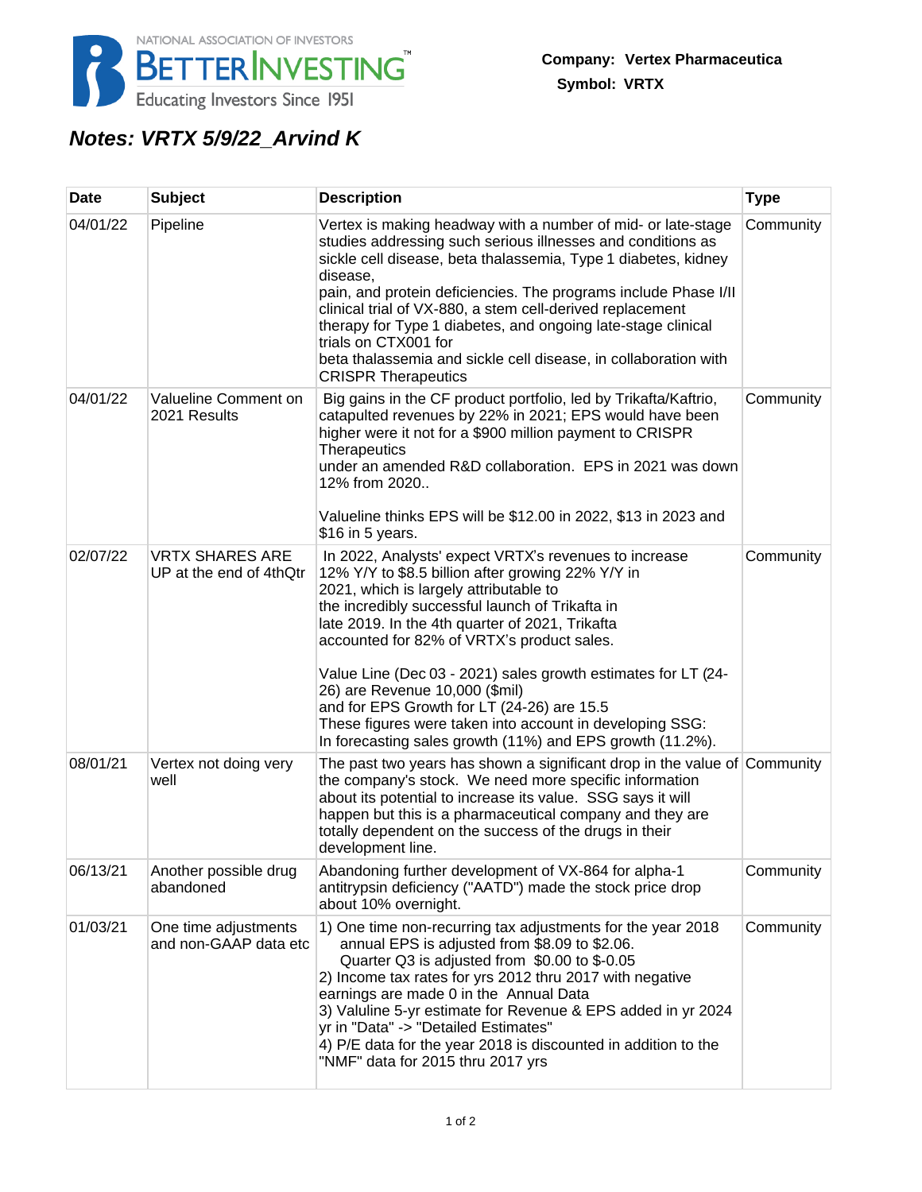

# **Notes: VRTX 5/9/22\_Arvind K**

| <b>Date</b> | <b>Subject</b>                                    | <b>Description</b>                                                                                                                                                                                                                                                                                                                                                                                                                                                                                                                                                                 | <b>Type</b> |
|-------------|---------------------------------------------------|------------------------------------------------------------------------------------------------------------------------------------------------------------------------------------------------------------------------------------------------------------------------------------------------------------------------------------------------------------------------------------------------------------------------------------------------------------------------------------------------------------------------------------------------------------------------------------|-------------|
| 04/01/22    | Pipeline                                          | Vertex is making headway with a number of mid- or late-stage<br>studies addressing such serious illnesses and conditions as<br>sickle cell disease, beta thalassemia, Type 1 diabetes, kidney<br>disease,<br>pain, and protein deficiencies. The programs include Phase I/II<br>clinical trial of VX-880, a stem cell-derived replacement<br>therapy for Type 1 diabetes, and ongoing late-stage clinical<br>trials on CTX001 for<br>beta thalassemia and sickle cell disease, in collaboration with<br><b>CRISPR Therapeutics</b>                                                 | Community   |
| 04/01/22    | Valueline Comment on<br>2021 Results              | Big gains in the CF product portfolio, led by Trikafta/Kaftrio,<br>catapulted revenues by 22% in 2021; EPS would have been<br>higher were it not for a \$900 million payment to CRISPR<br><b>Therapeutics</b><br>under an amended R&D collaboration. EPS in 2021 was down<br>12% from 2020<br>Valueline thinks EPS will be \$12.00 in 2022, \$13 in 2023 and<br>\$16 in 5 years.                                                                                                                                                                                                   | Community   |
| 02/07/22    | <b>VRTX SHARES ARE</b><br>UP at the end of 4thQtr | In 2022, Analysts' expect VRTX's revenues to increase<br>12% Y/Y to \$8.5 billion after growing 22% Y/Y in<br>2021, which is largely attributable to<br>the incredibly successful launch of Trikafta in<br>late 2019. In the 4th quarter of 2021, Trikafta<br>accounted for 82% of VRTX's product sales.<br>Value Line (Dec 03 - 2021) sales growth estimates for LT (24-<br>26) are Revenue 10,000 (\$mil)<br>and for EPS Growth for LT (24-26) are 15.5<br>These figures were taken into account in developing SSG:<br>In forecasting sales growth (11%) and EPS growth (11.2%). | Community   |
| 08/01/21    | Vertex not doing very<br>well                     | The past two years has shown a significant drop in the value of Community<br>the company's stock. We need more specific information<br>about its potential to increase its value. SSG says it will<br>happen but this is a pharmaceutical company and they are<br>totally dependent on the success of the drugs in their<br>development line.                                                                                                                                                                                                                                      |             |
| 06/13/21    | Another possible drug<br>abandoned                | Abandoning further development of VX-864 for alpha-1<br>antitrypsin deficiency ("AATD") made the stock price drop<br>about 10% overnight.                                                                                                                                                                                                                                                                                                                                                                                                                                          | Community   |
| 01/03/21    | One time adjustments<br>and non-GAAP data etc     | 1) One time non-recurring tax adjustments for the year 2018<br>annual EPS is adjusted from \$8.09 to \$2.06.<br>Quarter Q3 is adjusted from \$0.00 to \$-0.05<br>2) Income tax rates for yrs 2012 thru 2017 with negative<br>earnings are made 0 in the Annual Data<br>3) Valuline 5-yr estimate for Revenue & EPS added in yr 2024<br>yr in "Data" -> "Detailed Estimates"<br>4) P/E data for the year 2018 is discounted in addition to the<br>"NMF" data for 2015 thru 2017 yrs                                                                                                 | Community   |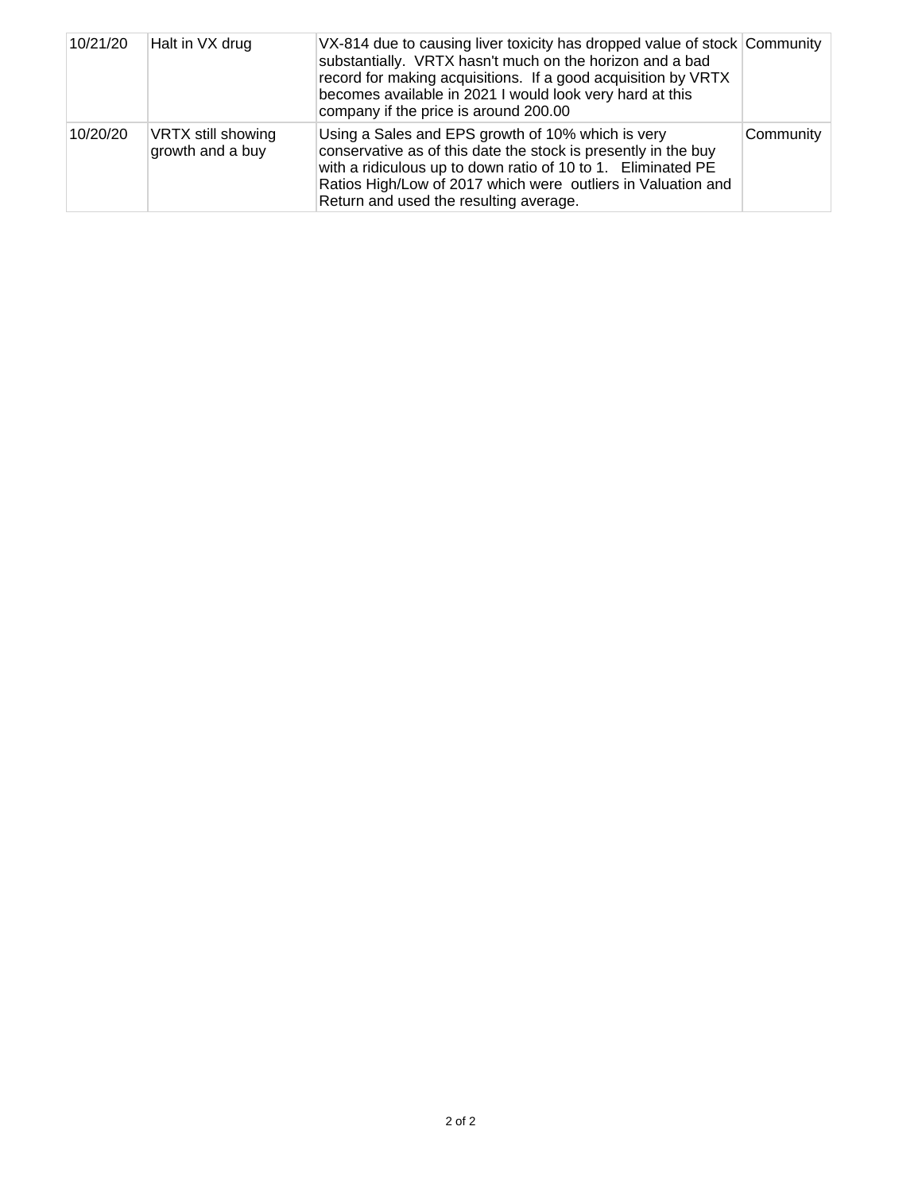| 10/21/20 | Halt in VX drug                        | VX-814 due to causing liver toxicity has dropped value of stock Community<br>substantially. VRTX hasn't much on the horizon and a bad<br>record for making acquisitions. If a good acquisition by VRTX<br>becomes available in 2021 I would look very hard at this<br>company if the price is around 200.00 |           |
|----------|----------------------------------------|-------------------------------------------------------------------------------------------------------------------------------------------------------------------------------------------------------------------------------------------------------------------------------------------------------------|-----------|
| 10/20/20 | VRTX still showing<br>growth and a buy | Using a Sales and EPS growth of 10% which is very<br>conservative as of this date the stock is presently in the buy<br>with a ridiculous up to down ratio of 10 to 1. Eliminated PE<br>Ratios High/Low of 2017 which were outliers in Valuation and<br>Return and used the resulting average.               | Community |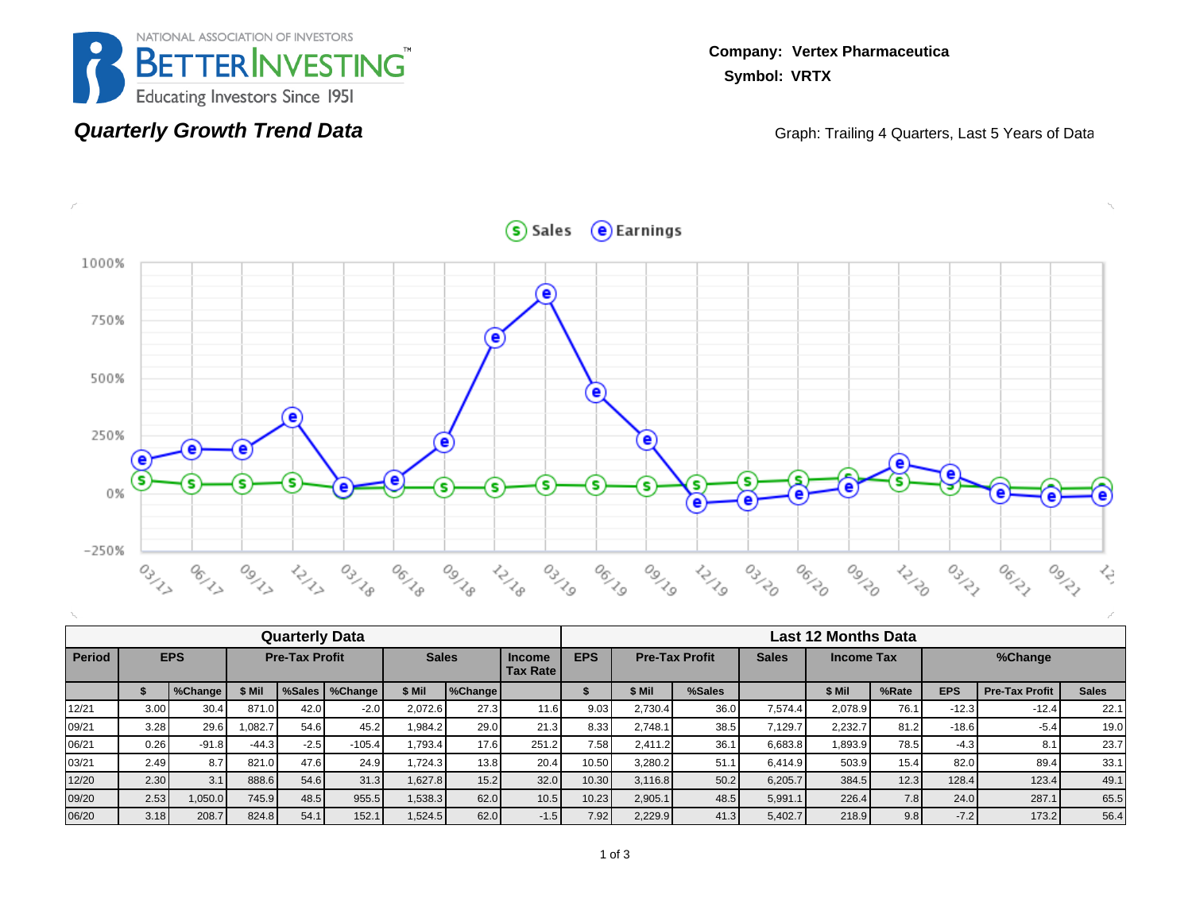

#### **Quarterly Growth Trend Data**

**Company: Vertex Pharmaceutica Symbol: VRTX**

Graph: Trailing 4 Quarters, Last 5 Years of Data



|               | <b>Quarterly Data</b> |         |         |                       |                  |         |                                                  |        |            |                       | <b>Last 12 Months Data</b> |              |                   |       |            |                       |              |  |  |  |
|---------------|-----------------------|---------|---------|-----------------------|------------------|---------|--------------------------------------------------|--------|------------|-----------------------|----------------------------|--------------|-------------------|-------|------------|-----------------------|--------------|--|--|--|
| <b>Period</b> | <b>EPS</b>            |         |         | <b>Pre-Tax Profit</b> |                  |         | <b>Sales</b><br><b>Income</b><br><b>Tax Rate</b> |        | <b>EPS</b> | <b>Pre-Tax Profit</b> |                            | <b>Sales</b> | <b>Income Tax</b> |       |            | %Change               |              |  |  |  |
|               |                       | %Change | \$ Mil  |                       | %Sales   %Change | \$ Mil  | %Change                                          |        |            | \$ Mil                | %Sales                     |              | \$ Mil            | %Rate | <b>EPS</b> | <b>Pre-Tax Profit</b> | <b>Sales</b> |  |  |  |
| 12/21         | 3.00                  | 30.4    | 871.0   | 42.0                  | $-2.0$           | 2.072.6 | 27.3                                             | 11.6   | 9.03       | 2.730.4               | 36.0                       | 7.574.4      | 2.078.9           | 76.1  | $-12.3$    | $-12.4$               | 22.1         |  |  |  |
| 09/21         | 3.28                  | 29.6    | 0.082.7 | 54.6                  | 45.2             | 1.984.2 | 29.0                                             | 21.3   | 8.33       | 2.748.1               | 38.5                       | 7.129.7      | 2.232.7           | 81.2  | $-18.6$    | $-5.4$                | 19.0         |  |  |  |
| 06/21         | 0.26                  | $-91.8$ | $-44.3$ | $-2.5$                | $-105.4$         | 1.793.4 | 17.6                                             | 251.2  | 7.58       | 2.411.2               | 36.1                       | 6,683.8      | .893.9            | 78.5  | $-4.3$     | 8.1                   | 23.7         |  |  |  |
| 03/21         | 2.49                  | 8.7     | 821.0   | 47.6                  | 24.9             | 1.724.3 | 13.8                                             | 20.4   | 10.50      | 3,280.2               | 51.1                       | 6.414.9      | 503.9             | 15.4  | 82.0       | 89.4                  | 33.1         |  |  |  |
| 12/20         | 2.30                  | 3.1     | 888.6   | 54.6                  | 31.3             | 1.627.8 | 15.2                                             | 32.0   | 10.30      | 3.116.8               | 50.2                       | 6,205.7      | 384.5             | 12.3  | 128.4      | 123.4                 | 49.1         |  |  |  |
| 09/20         | 2.53                  | 1,050.0 | 745.9   | 48.5                  | 955.5            | 1,538.3 | 62.0                                             | 10.5   | 10.23      | 2,905.1               | 48.5                       | 5,991.1      | 226.4             | 7.8   | 24.0       | 287.1                 | 65.5         |  |  |  |
| 06/20         | 3.18                  | 208.7   | 824.8   | 54.1                  | 152.1            | 1,524.5 | 62.0                                             | $-1.5$ | 7.92       | 2,229.9               | 41.3                       | 5,402.7      | 218.9             | 9.8   | $-7.2$     | 173.2                 | 56.4         |  |  |  |

 $S$  Sales  $\Theta$  Earnings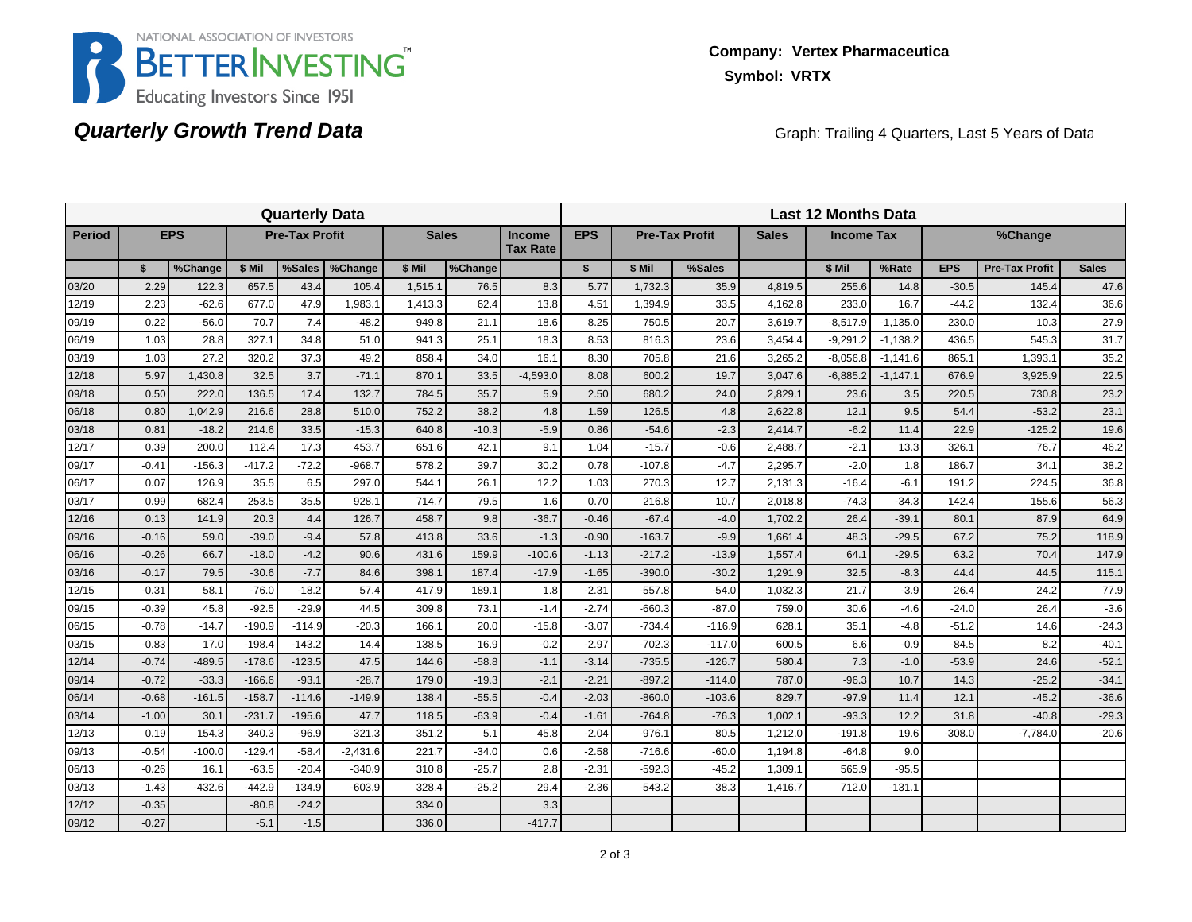

## **Quarterly Growth Trend Data**

Graph: Trailing 4 Quarters, Last 5 Years of Data

|               |         |            |          | <b>Quarterly Data</b> |            |              |         |                                  | <b>Last 12 Months Data</b> |          |                       |              |                   |            |            |                       |              |  |
|---------------|---------|------------|----------|-----------------------|------------|--------------|---------|----------------------------------|----------------------------|----------|-----------------------|--------------|-------------------|------------|------------|-----------------------|--------------|--|
| <b>Period</b> |         | <b>EPS</b> |          | <b>Pre-Tax Profit</b> |            | <b>Sales</b> |         | <b>Income</b><br><b>Tax Rate</b> | <b>EPS</b>                 |          | <b>Pre-Tax Profit</b> | <b>Sales</b> | <b>Income Tax</b> |            |            | %Change               |              |  |
|               | \$      | %Change    | \$ Mil   | %Sales                | %Change    | \$ Mil       | %Change |                                  | $\mathbf{s}$               | \$ Mil   | %Sales                |              | \$ Mil            | %Rate      | <b>EPS</b> | <b>Pre-Tax Profit</b> | <b>Sales</b> |  |
| 03/20         | 2.29    | 122.3      | 657.5    | 43.4                  | 105.4      | 1,515.1      | 76.5    | 8.3                              | 5.77                       | 1,732.3  | 35.9                  | 4,819.5      | 255.6             | 14.8       | $-30.5$    | 145.4                 | 47.6         |  |
| 12/19         | 2.23    | $-62.6$    | 677.0    | 47.9                  | 1,983.1    | 1,413.3      | 62.4    | 13.8                             | 4.51                       | 1,394.9  | 33.5                  | 4,162.8      | 233.0             | 16.7       | $-44.2$    | 132.4                 | 36.6         |  |
| 09/19         | 0.22    | $-56.0$    | 70.7     | 7.4                   | $-48.2$    | 949.8        | 21.1    | 18.6                             | 8.25                       | 750.5    | 20.7                  | 3,619.7      | $-8,517.9$        | $-1,135.0$ | 230.0      | 10.3                  | 27.9         |  |
| 06/19         | 1.03    | 28.8       | 327.1    | 34.8                  | 51.0       | 941.3        | 25.1    | 18.3                             | 8.53                       | 816.3    | 23.6                  | 3,454.4      | $-9,291.2$        | $-1,138.2$ | 436.5      | 545.3                 | 31.7         |  |
| 03/19         | 1.03    | 27.2       | 320.2    | 37.3                  | 49.2       | 858.4        | 34.0    | 16.1                             | 8.30                       | 705.8    | 21.6                  | 3,265.2      | $-8,056.8$        | $-1,141.6$ | 865.1      | 1,393.1               | 35.2         |  |
| 12/18         | 5.97    | 1,430.8    | 32.5     | 3.7                   | $-71.1$    | 870.1        | 33.5    | $-4,593.0$                       | 8.08                       | 600.2    | 19.7                  | 3,047.6      | $-6,885.2$        | $-1,147.1$ | 676.9      | 3,925.9               | 22.5         |  |
| 09/18         | 0.50    | 222.0      | 136.5    | 17.4                  | 132.7      | 784.5        | 35.7    | 5.9                              | 2.50                       | 680.2    | 24.0                  | 2,829.1      | 23.6              | 3.5        | 220.5      | 730.8                 | 23.2         |  |
| 06/18         | 0.80    | 1,042.9    | 216.6    | 28.8                  | 510.0      | 752.2        | 38.2    | 4.8                              | 1.59                       | 126.5    | 4.8                   | 2,622.8      | 12.1              | 9.5        | 54.4       | $-53.2$               | 23.1         |  |
| 03/18         | 0.81    | $-18.2$    | 214.6    | 33.5                  | $-15.3$    | 640.8        | $-10.3$ | $-5.9$                           | 0.86                       | $-54.6$  | $-2.3$                | 2,414.7      | $-6.2$            | 11.4       | 22.9       | $-125.2$              | 19.6         |  |
| 12/17         | 0.39    | 200.0      | 112.4    | 17.3                  | 453.7      | 651.6        | 42.1    | 9.1                              | 1.04                       | $-15.7$  | $-0.6$                | 2,488.7      | $-2.1$            | 13.3       | 326.1      | 76.7                  | 46.2         |  |
| 09/17         | $-0.41$ | $-156.3$   | $-417.2$ | $-72.2$               | $-968.7$   | 578.2        | 39.7    | 30.2                             | 0.78                       | $-107.8$ | $-4.7$                | 2,295.7      | $-2.0$            | 1.8        | 186.7      | 34.1                  | 38.2         |  |
| 06/17         | 0.07    | 126.9      | 35.5     | 6.5                   | 297.0      | 544.1        | 26.1    | 12.2                             | 1.03                       | 270.3    | 12.7                  | 2,131.3      | $-16.4$           | $-6.1$     | 191.2      | 224.5                 | 36.8         |  |
| 03/17         | 0.99    | 682.4      | 253.5    | 35.5                  | 928.1      | 714.7        | 79.5    | 1.6                              | 0.70                       | 216.8    | 10.7                  | 2,018.8      | $-74.3$           | $-34.3$    | 142.4      | 155.6                 | 56.3         |  |
| 12/16         | 0.13    | 141.9      | 20.3     | 4.4                   | 126.7      | 458.7        | 9.8     | $-36.7$                          | $-0.46$                    | $-67.4$  | $-4.0$                | 1,702.2      | 26.4              | $-39.1$    | 80.1       | 87.9                  | 64.9         |  |
| 09/16         | $-0.16$ | 59.0       | $-39.0$  | $-9.4$                | 57.8       | 413.8        | 33.6    | $-1.3$                           | $-0.90$                    | $-163.7$ | $-9.9$                | 1.661.4      | 48.3              | $-29.5$    | 67.2       | 75.2                  | 118.9        |  |
| 06/16         | $-0.26$ | 66.7       | $-18.0$  | $-4.2$                | 90.6       | 431.6        | 159.9   | $-100.6$                         | $-1.13$                    | $-217.2$ | $-13.9$               | 1,557.4      | 64.1              | $-29.5$    | 63.2       | 70.4                  | 147.9        |  |
| 03/16         | $-0.17$ | 79.5       | $-30.6$  | $-7.7$                | 84.6       | 398.1        | 187.4   | $-17.9$                          | $-1.65$                    | $-390.0$ | $-30.2$               | 1,291.9      | 32.5              | $-8.3$     | 44.4       | 44.5                  | 115.1        |  |
| 12/15         | $-0.31$ | 58.1       | $-76.0$  | $-18.2$               | 57.4       | 417.9        | 189.1   | 1.8                              | $-2.31$                    | $-557.8$ | $-54.0$               | 1,032.3      | 21.7              | $-3.9$     | 26.4       | 24.2                  | 77.9         |  |
| 09/15         | $-0.39$ | 45.8       | $-92.5$  | $-29.9$               | 44.5       | 309.8        | 73.1    | $-1.4$                           | $-2.74$                    | $-660.3$ | $-87.0$               | 759.0        | 30.6              | $-4.6$     | $-24.0$    | 26.4                  | $-3.6$       |  |
| 06/15         | $-0.78$ | $-14.7$    | $-190.9$ | $-114.9$              | $-20.3$    | 166.1        | 20.0    | $-15.8$                          | $-3.07$                    | $-734.4$ | $-116.9$              | 628.1        | 35.1              | $-4.8$     | $-51.2$    | 14.6                  | $-24.3$      |  |
| 03/15         | $-0.83$ | 17.0       | $-198.4$ | $-143.2$              | 14.4       | 138.5        | 16.9    | $-0.2$                           | $-2.97$                    | $-702.3$ | $-117.0$              | 600.5        | 6.6               | $-0.9$     | $-84.5$    | 8.2                   | $-40.1$      |  |
| 12/14         | $-0.74$ | $-489.5$   | $-178.6$ | $-123.5$              | 47.5       | 144.6        | $-58.8$ | $-1.1$                           | $-3.14$                    | $-735.5$ | $-126.7$              | 580.4        | 7.3               | $-1.0$     | $-53.9$    | 24.6                  | $-52.1$      |  |
| 09/14         | $-0.72$ | $-33.3$    | $-166.6$ | $-93.1$               | $-28.7$    | 179.0        | $-19.3$ | $-2.1$                           | $-2.21$                    | $-897.2$ | $-114.0$              | 787.0        | $-96.3$           | 10.7       | 14.3       | $-25.2$               | $-34.1$      |  |
| 06/14         | $-0.68$ | $-161.5$   | $-158.7$ | $-114.6$              | $-149.9$   | 138.4        | $-55.5$ | $-0.4$                           | $-2.03$                    | $-860.0$ | $-103.6$              | 829.7        | $-97.9$           | 11.4       | 12.1       | $-45.2$               | $-36.6$      |  |
| 03/14         | $-1.00$ | 30.1       | $-231.7$ | $-195.6$              | 47.7       | 118.5        | $-63.9$ | $-0.4$                           | $-1.61$                    | $-764.8$ | $-76.3$               | 1,002.1      | $-93.3$           | 12.2       | 31.8       | $-40.8$               | $-29.3$      |  |
| 12/13         | 0.19    | 154.3      | $-340.3$ | $-96.9$               | $-321.3$   | 351.2        | 5.1     | 45.8                             | $-2.04$                    | $-976.1$ | $-80.5$               | 1,212.0      | $-191.8$          | 19.6       | $-308.0$   | $-7,784.0$            | $-20.6$      |  |
| 09/13         | $-0.54$ | $-100.0$   | $-129.4$ | $-58.4$               | $-2,431.6$ | 221.7        | $-34.0$ | 0.6                              | $-2.58$                    | $-716.6$ | $-60.0$               | 1,194.8      | $-64.8$           | 9.0        |            |                       |              |  |
| 06/13         | $-0.26$ | 16.1       | $-63.5$  | $-20.4$               | $-340.9$   | 310.8        | $-25.7$ | 2.8                              | $-2.31$                    | $-592.3$ | $-45.2$               | 1,309.1      | 565.9             | $-95.5$    |            |                       |              |  |
| 03/13         | $-1.43$ | $-432.6$   | $-442.9$ | $-134.9$              | $-603.9$   | 328.4        | $-25.2$ | 29.4                             | $-2.36$                    | $-543.2$ | $-38.3$               | 1,416.7      | 712.0             | $-131.1$   |            |                       |              |  |
| 12/12         | $-0.35$ |            | $-80.8$  | $-24.2$               |            | 334.0        |         | 3.3                              |                            |          |                       |              |                   |            |            |                       |              |  |
| 09/12         | $-0.27$ |            | $-5.1$   | $-1.5$                |            | 336.0        |         | $-417.7$                         |                            |          |                       |              |                   |            |            |                       |              |  |